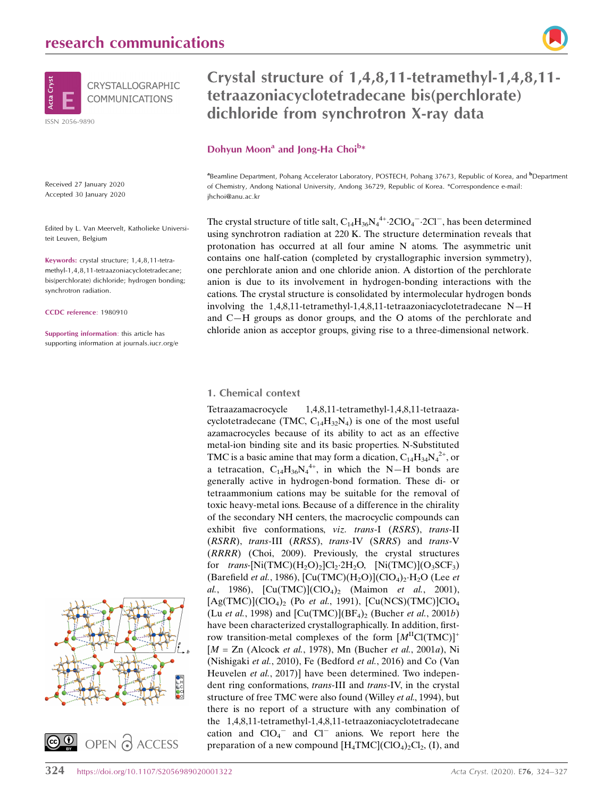

Received 27 January 2020 Accepted 30 January 2020

Edited by L. Van Meervelt, Katholieke Universiteit Leuven, Belgium

Keywords: crystal structure; 1,4,8,11-tetramethyl-1,4,8,11-tetraazoniacyclotetradecane; bis(perchlorate) dichloride; hydrogen bonding; synchrotron radiation.

CCDC reference: 1980910

Supporting information: this article has supporting information at journals.iucr.org/e



# Crystal structure of 1,4,8,11-tetramethyl-1,4,8,11 tetraazoniacyclotetradecane bis(perchlorate) dichloride from synchrotron X-ray data

#### Dohyun Moon<sup>a</sup> and Jong-Ha Choi<sup>b\*</sup>

<sup>a</sup>Beamline Department, Pohang Accelerator Laboratory, POSTECH, Pohang 37673, Republic of Korea, and <sup>b</sup>Department of Chemistry, Andong National University, Andong 36729, Republic of Korea. \*Correspondence e-mail: jhchoi@anu.ac.kr

The crystal structure of title salt,  $C_{14}H_{36}N_4^{4+}$ :2ClO<sub>4</sub><sup>-</sup>-2Cl<sup>-</sup>, has been determined using synchrotron radiation at 220 K. The structure determination reveals that protonation has occurred at all four amine N atoms. The asymmetric unit contains one half-cation (completed by crystallographic inversion symmetry), one perchlorate anion and one chloride anion. A distortion of the perchlorate anion is due to its involvement in hydrogen-bonding interactions with the cations. The crystal structure is consolidated by intermolecular hydrogen bonds involving the 1,4,8,11-tetramethyl-1,4,8,11-tetraazoniacyclotetradecane N—H and C—H groups as donor groups, and the O atoms of the perchlorate and chloride anion as acceptor groups, giving rise to a three-dimensional network.

#### 1. Chemical context

Tetraazamacrocycle 1,4,8,11-tetramethyl-1,4,8,11-tetraazacyclotetradecane (TMC,  $C_{14}H_{32}N_4$ ) is one of the most useful azamacrocycles because of its ability to act as an effective metal-ion binding site and its basic properties. N-Substituted TMC is a basic amine that may form a dication,  $C_{14}H_{34}N_4^{2+}$ , or a tetracation,  $C_{14}H_{36}N_4^{4+}$ , in which the N-H bonds are generally active in hydrogen-bond formation. These di- or tetraammonium cations may be suitable for the removal of toxic heavy-metal ions. Because of a difference in the chirality of the secondary NH centers, the macrocyclic compounds can exhibit five conformations, viz. trans-I (RSRS), trans-II (RSRR), trans-III (RRSS), trans-IV (SRRS) and trans-V (RRRR) (Choi, 2009). Previously, the crystal structures for  $trans$ [Ni(TMC)(H<sub>2</sub>O)<sub>2</sub>]Cl<sub>2</sub>·2H<sub>2</sub>O, [Ni(TMC)](O<sub>3</sub>SCF<sub>3</sub>) (Barefield et al., 1986),  $\text{[Cu(TMC)(H<sub>2</sub>O)](ClO<sub>4</sub>)<sub>2</sub>·H<sub>2</sub>O (Lee et$ al., 1986),  $[Cu(TMC)](ClO<sub>4</sub>)<sub>2</sub>$  (Maimon et al., 2001),  $[Ag(TMC)](ClO<sub>4</sub>)<sub>2</sub>$  (Po et al., 1991),  $[Cu(NCS)(TMC)]ClO<sub>4</sub>$ (Lu et al., 1998) and  $\text{[Cu(TMC)](BF_4)}_2$  (Bucher et al., 2001b) have been characterized crystallographically. In addition, firstrow transition-metal complexes of the form  $[M^{\text{II}}Cl(TMC)]^+$  $[M = Zn$  (Alcock et al., 1978), Mn (Bucher et al., 2001a), Ni (Nishigaki et al., 2010), Fe (Bedford et al., 2016) and Co (Van Heuvelen et al., 2017)] have been determined. Two independent ring conformations, trans-III and trans-IV, in the crystal structure of free TMC were also found (Willey *et al.*, 1994), but there is no report of a structure with any combination of the 1,4,8,11-tetramethyl-1,4,8,11-tetraazoniacyclotetradecane cation and  $ClO_4^-$  and  $Cl^-$  anions. We report here the preparation of a new compound  $[H_4TMC](CIO_4)_2Cl_2$ , (I), and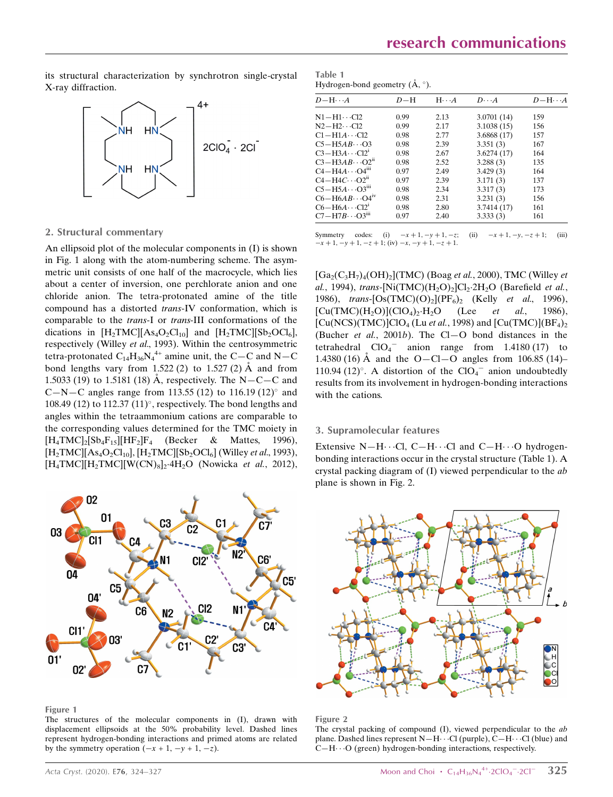its structural characterization by synchrotron single-crystal X-ray diffraction.



#### Table 1 Hydrogen-bond geometry  $(\AA, \degree)$ .

| $D-H\cdots A$                         | $D-H$ | $H \cdot \cdot \cdot A$ | $D\cdots A$ | $D-\mathrm{H}\cdots A$ |
|---------------------------------------|-------|-------------------------|-------------|------------------------|
| $N1 - H1 \cdots Cl2$                  | 0.99  | 2.13                    | 3.0701(14)  | 159                    |
| $N2-H2 \cdot C12$                     | 0.99  | 2.17                    | 3.1038(15)  | 156                    |
| $C1 - H1A \cdots C12$                 | 0.98  | 2.77                    | 3.6868(17)  | 157                    |
| $C5 - H5AB \cdots O3$                 | 0.98  | 2.39                    | 3.351(3)    | 167                    |
| $C3 - H3A \cdots C12$                 | 0.98  | 2.67                    | 3.6274(17)  | 164                    |
| $C3 - H3AB \cdot \cdot \cdot O2^{ii}$ | 0.98  | 2.52                    | 3.288(3)    | 135                    |
| $C4 - H4A \cdots O4$ <sup>iii</sup>   | 0.97  | 2.49                    | 3.429(3)    | 164                    |
| $C4 - H4C \cdots O2ii$                | 0.97  | 2.39                    | 3.171(3)    | 137                    |
| $C5 - H5A \cdots O3m$                 | 0.98  | 2.34                    | 3.317(3)    | 173                    |
| $C6 - H6AB \cdots Q4iv$               | 0.98  | 2.31                    | 3.231(3)    | 156                    |
| $C6 - H6A \cdots C12$                 | 0.98  | 2.80                    | 3.7414(17)  | 161                    |
| $C7 - H7B \cdots O3m$                 | 0.97  | 2.40                    | 3.333(3)    | 161                    |

Symmetry codes: (i)  $-x+1, -y+1, -z$ ; (ii)  $-x+1, -y, -z+1$ ; (iii)  $-x + 1$ ,  $-y + 1$ ,  $-z + 1$ ; (iv)  $-x$ ,  $-y + 1$ ,  $-z + 1$ .

#### $[Ga_2(C_3H_7)_4(OH)_2]$ (TMC) (Boag et al., 2000), TMC (Willey et al., 1994), trans-[Ni $(TMC)(H_2O)_2$ ]Cl<sub>2</sub>·2H<sub>2</sub>O (Barefield *et al.*, 1986), trans- $[Os(TMC)(O)_2](PF_6)_2$  (Kelly et al., 1996),  $[Cu(TMC)(H<sub>2</sub>O)](ClO<sub>4</sub>)<sub>2</sub>·H<sub>2</sub>O$ (Lee *et al.*, 1986),  $[Cu(NCS)(TMC)]ClO<sub>4</sub>$  (Lu *et al.*, 1998) and  $[Cu(TMC)](BF<sub>4</sub>)<sub>2</sub>$ (Bucher et al., 2001b). The Cl-O bond distances in the tetrahedral  $ClO_4^-$  anion range from 1.4180 (17) to 1.4380 (16) Å and the O—Cl—O angles from 106.85 (14)– 110.94 (12)°. A distortion of the  $ClO<sub>4</sub><sup>-</sup>$  anion undoubtedly results from its involvement in hydrogen-bonding interactions with the cations.

#### 3. Supramolecular features

Extensive N-H $\cdots$ Cl, C-H $\cdots$ Cl and C-H $\cdots$ O hydrogenbonding interactions occur in the crystal structure (Table 1). A crystal packing diagram of  $(I)$  viewed perpendicular to the  $ab$ plane is shown in Fig. 2.



Figure 2

The crystal packing of compound (I), viewed perpendicular to the ab plane. Dashed lines represent  $N-H\cdots$ Cl (purple),  $C-H\cdots$ Cl (blue) and C-H $\cdots$ O (green) hydrogen-bonding interactions, respectively.

## 2. Structural commentary

An ellipsoid plot of the molecular components in (I) is shown in Fig. 1 along with the atom-numbering scheme. The asymmetric unit consists of one half of the macrocycle, which lies about a center of inversion, one perchlorate anion and one chloride anion. The tetra-protonated amine of the title compound has a distorted trans-IV conformation, which is comparable to the trans-I or trans-III conformations of the dications in  $[H_2TMC][As_4O_2Cl_{10}]$  and  $[H_2TMC][Sb_2OCl_6]$ , respectively (Willey et al., 1993). Within the centrosymmetric tetra-protonated  $C_{14}H_{36}N_4^{4+}$  amine unit, the C-C and N-C bond lengths vary from 1.522 (2) to 1.527 (2)  $\AA$  and from 1.5033 (19) to 1.5181 (18) Å, respectively. The N-C-C and C-N-C angles range from 113.55 (12) to 116.19 (12) $^{\circ}$  and 108.49 (12) to 112.37 (11) $^{\circ}$ , respectively. The bond lengths and angles within the tetraammonium cations are comparable to the corresponding values determined for the TMC moiety in  $[H_4TMC]_2[Sb_4F_{15}][HF_2]F_4$  (Becker & Mattes, 1996),  $[H_2TMC][As_4O_2Cl_{10}]$ ,  $[H_2TMC][Sb_2OCl_6]$  (Willey *et al.*, 1993),  $[H_4TMC][H_2TMC][W(CN)_8]_2$ ·4H<sub>2</sub>O (Nowicka et al., 2012),



Figure 1

The structures of the molecular components in (I), drawn with displacement ellipsoids at the 50% probability level. Dashed lines represent hydrogen-bonding interactions and primed atoms are related by the symmetry operation  $(-x + 1, -y + 1, -z)$ .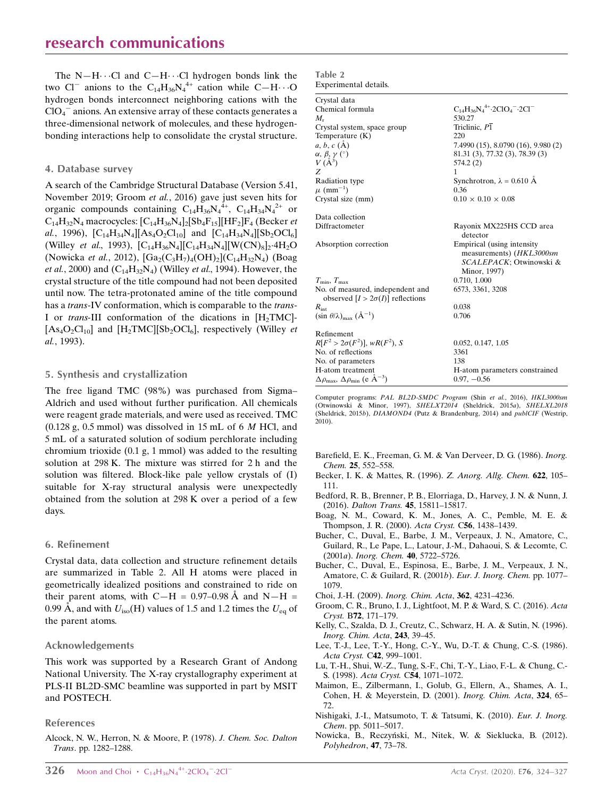The  $N-H\cdots$ Cl and  $C-H\cdots$ Cl hydrogen bonds link the two Cl<sup>-</sup> anions to the C<sub>14</sub>H<sub>36</sub>N<sub>4</sub><sup>4+</sup> cation while C-H $\cdots$ O hydrogen bonds interconnect neighboring cations with the  $ClO<sub>4</sub><sup>-</sup>$  anions. An extensive array of these contacts generates a three-dimensional network of molecules, and these hydrogenbonding interactions help to consolidate the crystal structure.

#### 4. Database survey

A search of the Cambridge Structural Database (Version 5.41, November 2019; Groom et al., 2016) gave just seven hits for organic compounds containing  $C_{14}H_{36}N_4^{4+}$ ,  $C_{14}H_{34}N_4^{2+}$  or  $C_{14}H_{32}N_4$  macrocycles:  $[C_{14}H_{36}N_4]_2[Sb_4F_{15}][HF_2]F_4$  (Becker *et* al., 1996),  $[C_{14}H_{34}N_4][As_4O_2Cl_{10}]$  and  $[C_{14}H_{34}N_4][Sb_2OCl_6]$ (Willey *et al.*, 1993),  $[C_{14}H_{36}N_4][C_{14}H_{34}N_4][W(CN)_8]_2.4H_2O$ (Nowicka *et al.*, 2012),  $[Ga_2(C_3H_7)_4(OH)_2](C_{14}H_{32}N_4)$  (Boag *et al.*, 2000) and  $(C_{14}H_{32}N_4)$  (Willey *et al.*, 1994). However, the crystal structure of the title compound had not been deposited until now. The tetra-protonated amine of the title compound has a trans-IV conformation, which is comparable to the trans-I or trans-III conformation of the dications in  $[H_2TMC]$ - $[As_4O_2Cl_{10}]$  and  $[H_2TMC][Sb_2OCl_6]$ , respectively (Willey *et* al., 1993).

#### 5. Synthesis and crystallization

The free ligand TMC (98%) was purchased from Sigma– Aldrich and used without further purification. All chemicals were reagent grade materials, and were used as received. TMC  $(0.128 \text{ g}, 0.5 \text{ mmol})$  was dissolved in 15 mL of 6 *M* HCl, and 5 mL of a saturated solution of sodium perchlorate including chromium trioxide (0.1 g, 1 mmol) was added to the resulting solution at 298 K. The mixture was stirred for 2 h and the solution was filtered. Block-like pale yellow crystals of (I) suitable for X-ray structural analysis were unexpectedly obtained from the solution at 298 K over a period of a few days.

#### 6. Refinement

Crystal data, data collection and structure refinement details are summarized in Table 2. All H atoms were placed in geometrically idealized positions and constrained to ride on their parent atoms, with  $C-H = 0.97-0.98$  Å and  $N-H =$ 0.99 Å, and with  $U_{\text{iso}}(H)$  values of 1.5 and 1.2 times the  $U_{\text{eq}}$  of the parent atoms.

#### Acknowledgements

This work was supported by a Research Grant of Andong National University. The X-ray crystallography experiment at PLS-II BL2D-SMC beamline was supported in part by MSIT and POSTECH.

#### References

[Alcock, N. W., Herron, N. & Moore, P. \(1978\).](http://scripts.iucr.org/cgi-bin/cr.cgi?rm=pdfbb&cnor=vm2227&bbid=BB1) J. Chem. Soc. Dalton Trans[. pp. 1282–1288.](http://scripts.iucr.org/cgi-bin/cr.cgi?rm=pdfbb&cnor=vm2227&bbid=BB1)

| Table 2 |                       |
|---------|-----------------------|
|         | Experimental details. |

| Crystal data                                                                 |                                                                                                   |
|------------------------------------------------------------------------------|---------------------------------------------------------------------------------------------------|
| Chemical formula                                                             | $C_{14}H_{36}N_4^{4+}.2ClO_4^-.2Cl^-$                                                             |
| $M_{\rm r}$                                                                  | 530.27                                                                                            |
| Crystal system, space group                                                  | Triclinic, P1                                                                                     |
| Temperature $(K)$                                                            | 220                                                                                               |
| a, b, c (A)                                                                  | 7.4990(15), 8.0790(16), 9.980(2)                                                                  |
|                                                                              | 81.31 (3), 77.32 (3), 78.39 (3)                                                                   |
| $\alpha$ , $\beta$ , $\gamma$ (°)<br>$V(A^3)$                                | 574.2(2)                                                                                          |
| Z                                                                            | 1                                                                                                 |
| Radiation type                                                               | Synchrotron, $\lambda = 0.610$ Å                                                                  |
| $\mu$ (mm <sup>-1</sup> )                                                    | 0.36                                                                                              |
| Crystal size (mm)                                                            | $0.10 \times 0.10 \times 0.08$                                                                    |
| Data collection                                                              |                                                                                                   |
| Diffractometer                                                               | Rayonix MX225HS CCD area<br>detector                                                              |
| Absorption correction                                                        | Empirical (using intensity<br>measurements) (HKL3000sm<br>SCALEPACK; Otwinowski &<br>Minor, 1997) |
| $T_{\min}, T_{\max}$                                                         | 0.710, 1.000                                                                                      |
| No. of measured, independent and<br>observed $[I > 2\sigma(I)]$ reflections  | 6573, 3361, 3208                                                                                  |
| $R_{\rm int}$                                                                | 0.038                                                                                             |
| $(\sin \theta/\lambda)_{\text{max}} (\AA^{-1})$                              | 0.706                                                                                             |
| Refinement                                                                   |                                                                                                   |
| $R[F^2 > 2\sigma(F^2)], wR(F^2), S$                                          | 0.052, 0.147, 1.05                                                                                |
| No. of reflections                                                           | 3361                                                                                              |
| No. of parameters                                                            | 138                                                                                               |
| H-atom treatment                                                             | H-atom parameters constrained                                                                     |
| $\Delta \rho_{\text{max}}$ , $\Delta \rho_{\text{min}}$ (e $\rm{\AA}^{-3}$ ) | $0.97, -0.56$                                                                                     |

Computer programs: PAL BL2D-SMDC Program (Shin et al., 2016), HKL3000sm (Otwinowski & Minor, 1997), SHELXT2014 (Sheldrick, 2015a), SHELXL2018 (Sheldrick, 2015b), DIAMOND4 (Putz & Brandenburg, 2014) and publCIF (Westrip, 2010).

- [Barefield, E. K., Freeman, G. M. & Van Derveer, D. G. \(1986\).](http://scripts.iucr.org/cgi-bin/cr.cgi?rm=pdfbb&cnor=vm2227&bbid=BB2) Inorg. Chem. 25[, 552–558.](http://scripts.iucr.org/cgi-bin/cr.cgi?rm=pdfbb&cnor=vm2227&bbid=BB2)
- [Becker, I. K. & Mattes, R. \(1996\).](http://scripts.iucr.org/cgi-bin/cr.cgi?rm=pdfbb&cnor=vm2227&bbid=BB3) Z. Anorg. Allg. Chem. 622, 105– [111.](http://scripts.iucr.org/cgi-bin/cr.cgi?rm=pdfbb&cnor=vm2227&bbid=BB3)
- [Bedford, R. B., Brenner, P. B., Elorriaga, D., Harvey, J. N. & Nunn, J.](http://scripts.iucr.org/cgi-bin/cr.cgi?rm=pdfbb&cnor=vm2227&bbid=BB4) (2016). Dalton Trans. 45[, 15811–15817.](http://scripts.iucr.org/cgi-bin/cr.cgi?rm=pdfbb&cnor=vm2227&bbid=BB4)
- [Boag, N. M., Coward, K. M., Jones, A. C., Pemble, M. E. &](http://scripts.iucr.org/cgi-bin/cr.cgi?rm=pdfbb&cnor=vm2227&bbid=BB5) [Thompson, J. R. \(2000\).](http://scripts.iucr.org/cgi-bin/cr.cgi?rm=pdfbb&cnor=vm2227&bbid=BB5) Acta Cryst. C56, 1438-1439.
- [Bucher, C., Duval, E., Barbe, J. M., Verpeaux, J. N., Amatore, C.,](http://scripts.iucr.org/cgi-bin/cr.cgi?rm=pdfbb&cnor=vm2227&bbid=BB6) [Guilard, R., Le Pape, L., Latour, J.-M., Dahaoui, S. & Lecomte, C.](http://scripts.iucr.org/cgi-bin/cr.cgi?rm=pdfbb&cnor=vm2227&bbid=BB6) (2001a). [Inorg. Chem.](http://scripts.iucr.org/cgi-bin/cr.cgi?rm=pdfbb&cnor=vm2227&bbid=BB6) 40, 5722–5726.
- [Bucher, C., Duval, E., Espinosa, E., Barbe, J. M., Verpeaux, J. N.,](http://scripts.iucr.org/cgi-bin/cr.cgi?rm=pdfbb&cnor=vm2227&bbid=BB7) [Amatore, C. & Guilard, R. \(2001](http://scripts.iucr.org/cgi-bin/cr.cgi?rm=pdfbb&cnor=vm2227&bbid=BB7)b). Eur. J. Inorg. Chem. pp. 1077– [1079.](http://scripts.iucr.org/cgi-bin/cr.cgi?rm=pdfbb&cnor=vm2227&bbid=BB7)
- [Choi, J.-H. \(2009\).](http://scripts.iucr.org/cgi-bin/cr.cgi?rm=pdfbb&cnor=vm2227&bbid=BB8) Inorg. Chim. Acta, 362, 4231–4236.
- [Groom, C. R., Bruno, I. J., Lightfoot, M. P. & Ward, S. C. \(2016\).](http://scripts.iucr.org/cgi-bin/cr.cgi?rm=pdfbb&cnor=vm2227&bbid=BB9) Acta Cryst. B72[, 171–179.](http://scripts.iucr.org/cgi-bin/cr.cgi?rm=pdfbb&cnor=vm2227&bbid=BB9)
- [Kelly, C., Szalda, D. J., Creutz, C., Schwarz, H. A. & Sutin, N. \(1996\).](http://scripts.iucr.org/cgi-bin/cr.cgi?rm=pdfbb&cnor=vm2227&bbid=BB10) [Inorg. Chim. Acta](http://scripts.iucr.org/cgi-bin/cr.cgi?rm=pdfbb&cnor=vm2227&bbid=BB10), 243, 39–45.
- [Lee, T.-J., Lee, T.-Y., Hong, C.-Y., Wu, D.-T. & Chung, C.-S. \(1986\).](http://scripts.iucr.org/cgi-bin/cr.cgi?rm=pdfbb&cnor=vm2227&bbid=BB11) [Acta Cryst.](http://scripts.iucr.org/cgi-bin/cr.cgi?rm=pdfbb&cnor=vm2227&bbid=BB11) C42, 999–1001.
- [Lu, T.-H., Shui, W.-Z., Tung, S.-F., Chi, T.-Y., Liao, F.-L. & Chung, C.-](http://scripts.iucr.org/cgi-bin/cr.cgi?rm=pdfbb&cnor=vm2227&bbid=BB12) S. (1998). Acta Cryst. C54[, 1071–1072.](http://scripts.iucr.org/cgi-bin/cr.cgi?rm=pdfbb&cnor=vm2227&bbid=BB12)
- [Maimon, E., Zilbermann, I., Golub, G., Ellern, A., Shames, A. I.,](http://scripts.iucr.org/cgi-bin/cr.cgi?rm=pdfbb&cnor=vm2227&bbid=BB13) [Cohen, H. & Meyerstein, D. \(2001\).](http://scripts.iucr.org/cgi-bin/cr.cgi?rm=pdfbb&cnor=vm2227&bbid=BB13) Inorg. Chim. Acta, 324, 65– [72.](http://scripts.iucr.org/cgi-bin/cr.cgi?rm=pdfbb&cnor=vm2227&bbid=BB13)
- [Nishigaki, J.-I., Matsumoto, T. & Tatsumi, K. \(2010\).](http://scripts.iucr.org/cgi-bin/cr.cgi?rm=pdfbb&cnor=vm2227&bbid=BB14) Eur. J. Inorg. Chem[. pp. 5011–5017.](http://scripts.iucr.org/cgi-bin/cr.cgi?rm=pdfbb&cnor=vm2227&bbid=BB14)
- Nowicka, B., Reczyński, M., Nitek, W. & Sieklucka, B. (2012). [Polyhedron](http://scripts.iucr.org/cgi-bin/cr.cgi?rm=pdfbb&cnor=vm2227&bbid=BB15), 47, 73–78.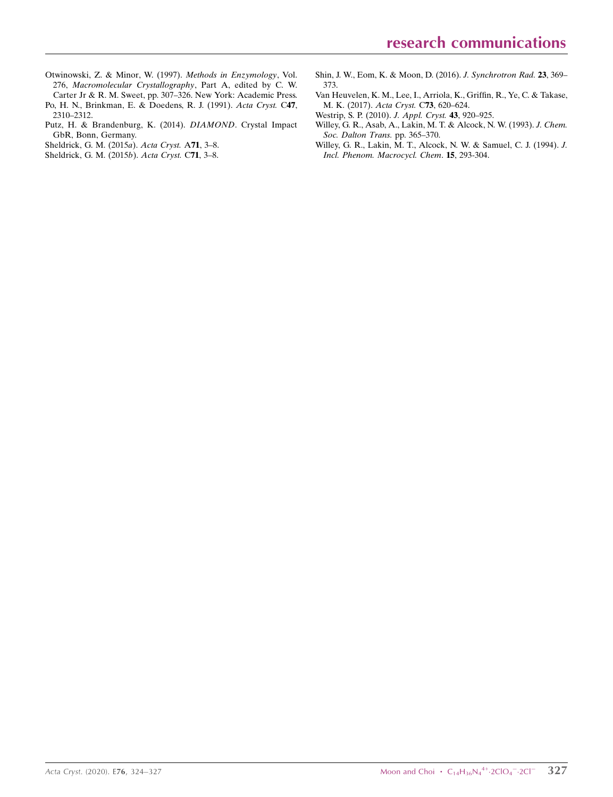[Otwinowski, Z. & Minor, W. \(1997\).](http://scripts.iucr.org/cgi-bin/cr.cgi?rm=pdfbb&cnor=vm2227&bbid=BB25) Methods in Enzymology, Vol. 276, [Macromolecular Crystallography](http://scripts.iucr.org/cgi-bin/cr.cgi?rm=pdfbb&cnor=vm2227&bbid=BB25), Part A, edited by C. W. [Carter Jr & R. M. Sweet, pp. 307–326. New York: Academic Press.](http://scripts.iucr.org/cgi-bin/cr.cgi?rm=pdfbb&cnor=vm2227&bbid=BB25)

[Po, H. N., Brinkman, E. & Doedens, R. J. \(1991\).](http://scripts.iucr.org/cgi-bin/cr.cgi?rm=pdfbb&cnor=vm2227&bbid=BB17) Acta Cryst. C47, [2310–2312.](http://scripts.iucr.org/cgi-bin/cr.cgi?rm=pdfbb&cnor=vm2227&bbid=BB17)

- [Putz, H. & Brandenburg, K. \(2014\).](http://scripts.iucr.org/cgi-bin/cr.cgi?rm=pdfbb&cnor=vm2227&bbid=BB18) DIAMOND. Crystal Impact [GbR, Bonn, Germany.](http://scripts.iucr.org/cgi-bin/cr.cgi?rm=pdfbb&cnor=vm2227&bbid=BB18)
- [Sheldrick, G. M. \(2015](http://scripts.iucr.org/cgi-bin/cr.cgi?rm=pdfbb&cnor=vm2227&bbid=BB19)a). Acta Cryst. A71, 3–8.
- [Sheldrick, G. M. \(2015](http://scripts.iucr.org/cgi-bin/cr.cgi?rm=pdfbb&cnor=vm2227&bbid=BB20)b). Acta Cryst. C71, 3–8.
- [Shin, J. W., Eom, K. & Moon, D. \(2016\).](http://scripts.iucr.org/cgi-bin/cr.cgi?rm=pdfbb&cnor=vm2227&bbid=BB21) J. Synchrotron Rad. 23, 369– [373.](http://scripts.iucr.org/cgi-bin/cr.cgi?rm=pdfbb&cnor=vm2227&bbid=BB21)
- [Van Heuvelen, K. M., Lee, I., Arriola, K., Griffin, R., Ye, C. & Takase,](http://scripts.iucr.org/cgi-bin/cr.cgi?rm=pdfbb&cnor=vm2227&bbid=BB22) [M. K. \(2017\).](http://scripts.iucr.org/cgi-bin/cr.cgi?rm=pdfbb&cnor=vm2227&bbid=BB22) Acta Cryst. C73, 620–624.
- [Westrip, S. P. \(2010\).](http://scripts.iucr.org/cgi-bin/cr.cgi?rm=pdfbb&cnor=vm2227&bbid=BB23) J. Appl. Cryst. 43, 920–925.
- [Willey, G. R., Asab, A., Lakin, M. T. & Alcock, N. W. \(1993\).](http://scripts.iucr.org/cgi-bin/cr.cgi?rm=pdfbb&cnor=vm2227&bbid=BB24) J. Chem. [Soc. Dalton Trans.](http://scripts.iucr.org/cgi-bin/cr.cgi?rm=pdfbb&cnor=vm2227&bbid=BB24) pp. 365–370.
- [Willey, G. R., Lakin, M. T., Alcock, N. W. & Samuel, C. J. \(1994\).](http://scripts.iucr.org/cgi-bin/cr.cgi?rm=pdfbb&cnor=vm2227&bbid=BB25) J. [Incl. Phenom. Macrocycl. Chem](http://scripts.iucr.org/cgi-bin/cr.cgi?rm=pdfbb&cnor=vm2227&bbid=BB25). 15, 293-304.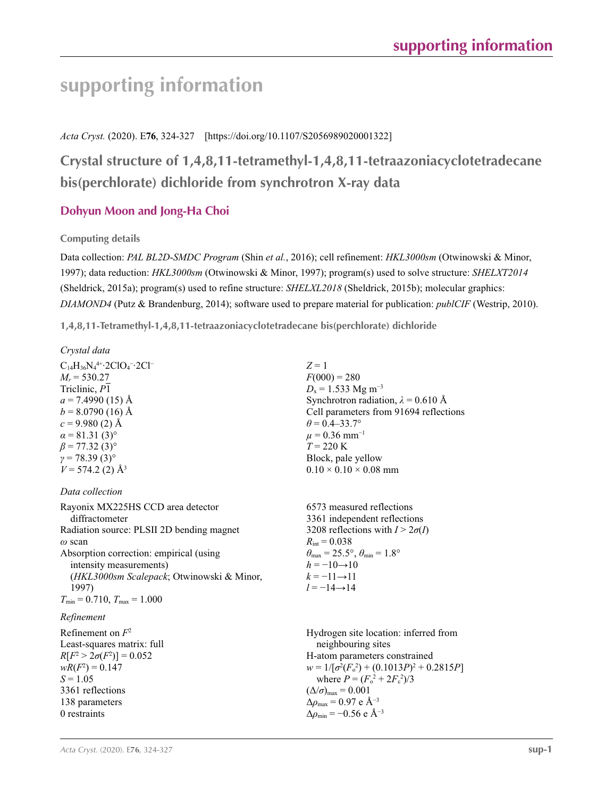# **supporting information**

## *Acta Cryst.* (2020). E**76**, 324-327 [https://doi.org/10.1107/S2056989020001322]

# **Crystal structure of 1,4,8,11-tetramethyl-1,4,8,11-tetraazoniacyclotetradecane bis(perchlorate) dichloride from synchrotron X-ray data**

# **Dohyun Moon and Jong-Ha Choi**

**Computing details** 

Data collection: *PAL BL2D*-*SMDC Program* (Shin *et al.*, 2016); cell refinement: *HKL3000sm* (Otwinowski & Minor, 1997); data reduction: *HKL3000sm* (Otwinowski & Minor, 1997); program(s) used to solve structure: *SHELXT2014* (Sheldrick, 2015a); program(s) used to refine structure: *SHELXL2018* (Sheldrick, 2015b); molecular graphics: *DIAMOND4* (Putz & Brandenburg, 2014); software used to prepare material for publication: *publCIF* (Westrip, 2010).

 $Z = 1$ 

 $F(000) = 280$  $D_x = 1.533$  Mg m<sup>-3</sup>

 $\theta$  = 0.4–33.7°  $\mu$  = 0.36 mm<sup>-1</sup> *T* = 220 K

Block, pale yellow  $0.10 \times 0.10 \times 0.08$  mm

Synchrotron radiation,  $\lambda = 0.610 \text{ Å}$ Cell parameters from 91694 reflections

**1,4,8,11-Tetramethyl-1,4,8,11-tetraazoniacyclotetradecane bis(perchlorate) dichloride** 

 $C_{14}H_{36}N_4^{4+}$ -2ClO<sub>4</sub><sup>-</sup>-2Cl<sup>-</sup>  $M_r = 530.27$ Triclinic, *P*1  $a = 7.4990$  (15) Å  $b = 8.0790(16)$  Å  $c = 9.980(2)$  Å  $\alpha$  = 81.31 (3)<sup>o</sup>  $\beta$  = 77.32 (3)<sup>o</sup> *γ* = 78.39 (3)°  $V = 574.2$  (2)  $\AA$ <sup>3</sup>

#### *Data collection*

| Rayonix MX225HS CCD area detector<br>diffractometer                | 6573 measured reflections<br>3361 independent reflections                                           |
|--------------------------------------------------------------------|-----------------------------------------------------------------------------------------------------|
| Radiation source: PLSII 2D bending magnet<br>$\omega$ scan         | 3208 reflections with $I > 2\sigma(I)$<br>$R_{\rm int} = 0.038$                                     |
| Absorption correction: empirical (using<br>intensity measurements) | $\theta_{\text{max}} = 25.5^{\circ}, \theta_{\text{min}} = 1.8^{\circ}$<br>$h = -10 \rightarrow 10$ |
| (HKL3000sm Scalepack; Otwinowski & Minor,<br>1997)                 | $k = -11 \rightarrow 11$<br>$l = -14 \rightarrow 14$                                                |
| $T_{\min}$ = 0.710, $T_{\max}$ = 1.000                             |                                                                                                     |
| Refinement                                                         |                                                                                                     |
| Refinement on $F^2$<br>Least-squares matrix: full                  | Hydrogen site location: inferred from<br>neighbouring sites                                         |
| $R[F^2 > 2\sigma(F^2)] = 0.052$<br>$wR(F^2) = 0.147$               | H-atom parameters constrained<br>$w = 1/[\sigma^2(F_0^2) + (0.1013P)^2 + 0.2815P]$                  |
| $S = 1.05$                                                         | where $P = (F_o^2 + 2F_s^2)/3$                                                                      |
| 3361 reflections                                                   | $(\Delta/\sigma)_{\text{max}} = 0.001$                                                              |
| 138 parameters                                                     | $\Delta\rho_{\text{max}}$ = 0.97 e Å <sup>-3</sup>                                                  |
| 0 restraints                                                       | $\Delta\rho_{\rm min}$ = -0.56 e Å <sup>-3</sup>                                                    |
|                                                                    |                                                                                                     |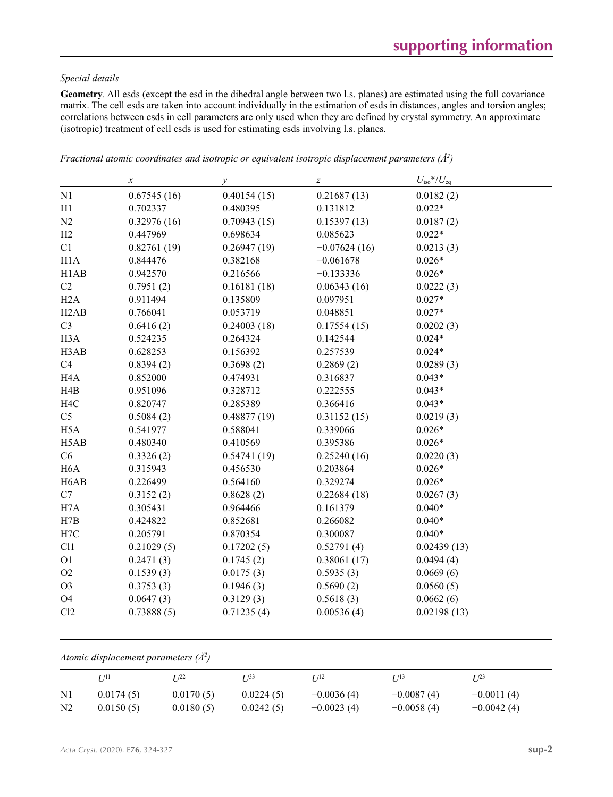#### *Special details*

**Geometry**. All esds (except the esd in the dihedral angle between two l.s. planes) are estimated using the full covariance matrix. The cell esds are taken into account individually in the estimation of esds in distances, angles and torsion angles; correlations between esds in cell parameters are only used when they are defined by crystal symmetry. An approximate (isotropic) treatment of cell esds is used for estimating esds involving l.s. planes.

|                   | $\boldsymbol{\chi}$ | $\mathcal{Y}$ | $\boldsymbol{Z}$ | $U_{\rm iso}$ */ $U_{\rm eq}$ |
|-------------------|---------------------|---------------|------------------|-------------------------------|
| N1                | 0.67545(16)         | 0.40154(15)   | 0.21687(13)      | 0.0182(2)                     |
| H1                | 0.702337            | 0.480395      | 0.131812         | $0.022*$                      |
| N <sub>2</sub>    | 0.32976(16)         | 0.70943(15)   | 0.15397(13)      | 0.0187(2)                     |
| H2                | 0.447969            | 0.698634      | 0.085623         | $0.022*$                      |
| C1                | 0.82761(19)         | 0.26947(19)   | $-0.07624(16)$   | 0.0213(3)                     |
| H1A               | 0.844476            | 0.382168      | $-0.061678$      | $0.026*$                      |
| H1AB              | 0.942570            | 0.216566      | $-0.133336$      | $0.026*$                      |
| C2                | 0.7951(2)           | 0.16181(18)   | 0.06343(16)      | 0.0222(3)                     |
| H2A               | 0.911494            | 0.135809      | 0.097951         | $0.027*$                      |
| H <sub>2</sub> AB | 0.766041            | 0.053719      | 0.048851         | $0.027*$                      |
| C <sub>3</sub>    | 0.6416(2)           | 0.24003(18)   | 0.17554(15)      | 0.0202(3)                     |
| H <sub>3</sub> A  | 0.524235            | 0.264324      | 0.142544         | $0.024*$                      |
| H3AB              | 0.628253            | 0.156392      | 0.257539         | $0.024*$                      |
| C4                | 0.8394(2)           | 0.3698(2)     | 0.2869(2)        | 0.0289(3)                     |
| H <sub>4</sub> A  | 0.852000            | 0.474931      | 0.316837         | $0.043*$                      |
| H4B               | 0.951096            | 0.328712      | 0.222555         | $0.043*$                      |
| H <sub>4</sub> C  | 0.820747            | 0.285389      | 0.366416         | $0.043*$                      |
| C <sub>5</sub>    | 0.5084(2)           | 0.48877(19)   | 0.31152(15)      | 0.0219(3)                     |
| H <sub>5</sub> A  | 0.541977            | 0.588041      | 0.339066         | $0.026*$                      |
| H5AB              | 0.480340            | 0.410569      | 0.395386         | $0.026*$                      |
| C6                | 0.3326(2)           | 0.54741(19)   | 0.25240(16)      | 0.0220(3)                     |
| H <sub>6</sub> A  | 0.315943            | 0.456530      | 0.203864         | $0.026*$                      |
| H <sub>6</sub> AB | 0.226499            | 0.564160      | 0.329274         | $0.026*$                      |
| C7                | 0.3152(2)           | 0.8628(2)     | 0.22684(18)      | 0.0267(3)                     |
| H7A               | 0.305431            | 0.964466      | 0.161379         | $0.040*$                      |
| H7B               | 0.424822            | 0.852681      | 0.266082         | $0.040*$                      |
| H7C               | 0.205791            | 0.870354      | 0.300087         | $0.040*$                      |
| C11               | 0.21029(5)          | 0.17202(5)    | 0.52791(4)       | 0.02439(13)                   |
| O <sub>1</sub>    | 0.2471(3)           | 0.1745(2)     | 0.38061(17)      | 0.0494(4)                     |
| O2                | 0.1539(3)           | 0.0175(3)     | 0.5935(3)        | 0.0669(6)                     |
| O <sub>3</sub>    | 0.3753(3)           | 0.1946(3)     | 0.5690(2)        | 0.0560(5)                     |
| <b>O4</b>         | 0.0647(3)           | 0.3129(3)     | 0.5618(3)        | 0.0662(6)                     |
| Cl2               | 0.73888(5)          | 0.71235(4)    | 0.00536(4)       | 0.02198(13)                   |

*Fractional atomic coordinates and isotropic or equivalent isotropic displacement parameters (Å<sup>2</sup>)* 

*Atomic displacement parameters (Å2 )*

|                | 1711      | T 722     | I 133     | 1712 I       | T 713        | T 123        |
|----------------|-----------|-----------|-----------|--------------|--------------|--------------|
| $\rm N1$       | 0.0174(5) | 0.0170(5) | 0.0224(5) | $-0.0036(4)$ | $-0.0087(4)$ | $-0.0011(4)$ |
| N <sub>2</sub> | 0.0150(5) | 0.0180(5) | 0.0242(5) | $-0.0023(4)$ | $-0.0058(4)$ | $-0.0042(4)$ |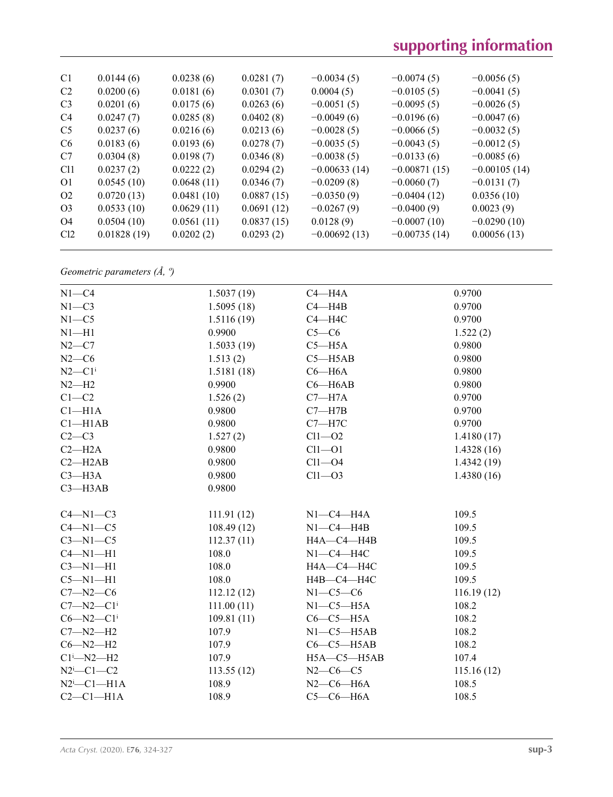| C1              | 0.0144(6)   | 0.0238(6)  | 0.0281(7)  | $-0.0034(5)$   | $-0.0074(5)$   | $-0.0056(5)$   |
|-----------------|-------------|------------|------------|----------------|----------------|----------------|
| C <sub>2</sub>  | 0.0200(6)   | 0.0181(6)  | 0.0301(7)  | 0.0004(5)      | $-0.0105(5)$   | $-0.0041(5)$   |
| C <sub>3</sub>  | 0.0201(6)   | 0.0175(6)  | 0.0263(6)  | $-0.0051(5)$   | $-0.0095(5)$   | $-0.0026(5)$   |
| C <sub>4</sub>  | 0.0247(7)   | 0.0285(8)  | 0.0402(8)  | $-0.0049(6)$   | $-0.0196(6)$   | $-0.0047(6)$   |
| C <sub>5</sub>  | 0.0237(6)   | 0.0216(6)  | 0.0213(6)  | $-0.0028(5)$   | $-0.0066(5)$   | $-0.0032(5)$   |
| C <sub>6</sub>  | 0.0183(6)   | 0.0193(6)  | 0.0278(7)  | $-0.0035(5)$   | $-0.0043(5)$   | $-0.0012(5)$   |
| C7              | 0.0304(8)   | 0.0198(7)  | 0.0346(8)  | $-0.0038(5)$   | $-0.0133(6)$   | $-0.0085(6)$   |
| C <sub>11</sub> | 0.0237(2)   | 0.0222(2)  | 0.0294(2)  | $-0.00633(14)$ | $-0.00871(15)$ | $-0.00105(14)$ |
| O <sub>1</sub>  | 0.0545(10)  | 0.0648(11) | 0.0346(7)  | $-0.0209(8)$   | $-0.0060(7)$   | $-0.0131(7)$   |
| O <sub>2</sub>  | 0.0720(13)  | 0.0481(10) | 0.0887(15) | $-0.0350(9)$   | $-0.0404(12)$  | 0.0356(10)     |
| O <sub>3</sub>  | 0.0533(10)  | 0.0629(11) | 0.0691(12) | $-0.0267(9)$   | $-0.0400(9)$   | 0.0023(9)      |
| O <sub>4</sub>  | 0.0504(10)  | 0.0561(11) | 0.0837(15) | 0.0128(9)      | $-0.0007(10)$  | $-0.0290(10)$  |
| Cl <sub>2</sub> | 0.01828(19) | 0.0202(2)  | 0.0293(2)  | $-0.00692(13)$ | $-0.00735(14)$ | 0.00056(13)    |
|                 |             |            |            |                |                |                |

*Geometric parameters (Å, º)*

| $N1 - C4$            | 1.5037(19) | $C4 - H4A$        | 0.9700     |
|----------------------|------------|-------------------|------------|
| $N1 - C3$            | 1.5095(18) | $C4 - H4B$        | 0.9700     |
| $N1 - C5$            | 1.5116(19) | $C4 - H4C$        | 0.9700     |
| $N1 - H1$            | 0.9900     | $C5-C6$           | 1.522(2)   |
| $N2-C7$              | 1.5033(19) | $C5 - H5A$        | 0.9800     |
| $N2-C6$              | 1.513(2)   | $C5 - H5AB$       | 0.9800     |
| $N2-C1$ <sup>i</sup> | 1.5181(18) | $C6 - H6A$        | 0.9800     |
| $N2-H2$              | 0.9900     | $C6 - H6AB$       | 0.9800     |
| $C1 - C2$            | 1.526(2)   | $C7 - H7A$        | 0.9700     |
| $Cl-H1A$             | 0.9800     | $C7 - H7B$        | 0.9700     |
| $Cl$ -H1AB           | 0.9800     | $C7 - H7C$        | 0.9700     |
| $C2-C3$              | 1.527(2)   | $Cl1 - O2$        | 1.4180(17) |
| $C2 - H2A$           | 0.9800     | $Cl1 - O1$        | 1.4328(16) |
| $C2 - H2AB$          | 0.9800     | $Cl1 - O4$        | 1.4342(19) |
| $C3 - H3A$           | 0.9800     | $Cl1 - O3$        | 1.4380(16) |
| $C3 - H3AB$          | 0.9800     |                   |            |
|                      |            |                   |            |
| $C4-M1-C3$           | 111.91(12) | $N1-C4-H4A$       | 109.5      |
| $C4 - N1 - C5$       | 108.49(12) | $N1-C4-H4B$       | 109.5      |
| $C3-M1-C5$           | 112.37(11) | HA—C4—H4B         | 109.5      |
| $C4 - N1 - H1$       | 108.0      | $N1-C4-H4C$       | 109.5      |
| $C3-M1-H1$           | 108.0      | H4A-C4-H4C        | 109.5      |
| $C5 - N1 - H1$       | 108.0      | Н4В-С4-Н4С        | 109.5      |
| $C7 - N2 - C6$       | 112.12(12) | $N1-C5-C6$        | 116.19(12) |
| $C7 - N2 - C1$       | 111.00(11) | $N1-C5-H5A$       | 108.2      |
| $C6 - N2 - C1$       | 109.81(11) | $C6-C5-H5A$       | 108.2      |
| $C7 - N2 - H2$       | 107.9      | $N1-C5-H5AB$      | 108.2      |
| $C6 - N2 - H2$       | 107.9      | $C6-C5-H5AB$      | 108.2      |
| $Cl^1$ —N2—H2        | 107.9      | $H5A - C5 - H5AB$ | 107.4      |
| $N2^i$ -C1-C2        | 113.55(12) | $N2-C6-C5$        | 115.16(12) |
| $N2^i$ -C1-H1A       | 108.9      | $N2$ –C6–H6A      | 108.5      |
| $C2-C1-H1A$          | 108.9      | $C5-C6-H6A$       | 108.5      |
|                      |            |                   |            |